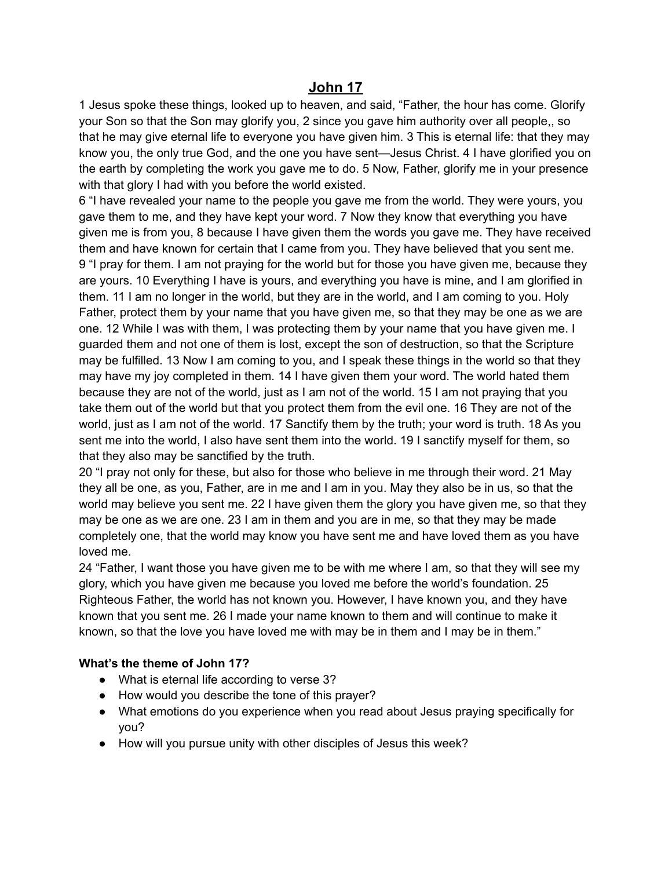## **John 17**

1 Jesus spoke these things, looked up to heaven, and said, "Father, the hour has come. Glorify your Son so that the Son may glorify you, 2 since you gave him authority over all people,, so that he may give eternal life to everyone you have given him. 3 This is eternal life: that they may know you, the only true God, and the one you have sent—Jesus Christ. 4 I have glorified you on the earth by completing the work you gave me to do. 5 Now, Father, glorify me in your presence with that glory I had with you before the world existed.

6 "I have revealed your name to the people you gave me from the world. They were yours, you gave them to me, and they have kept your word. 7 Now they know that everything you have given me is from you, 8 because I have given them the words you gave me. They have received them and have known for certain that I came from you. They have believed that you sent me. 9 "I pray for them. I am not praying for the world but for those you have given me, because they are yours. 10 Everything I have is yours, and everything you have is mine, and I am glorified in them. 11 I am no longer in the world, but they are in the world, and I am coming to you. Holy Father, protect them by your name that you have given me, so that they may be one as we are one. 12 While I was with them, I was protecting them by your name that you have given me. I guarded them and not one of them is lost, except the son of destruction, so that the Scripture may be fulfilled. 13 Now I am coming to you, and I speak these things in the world so that they may have my joy completed in them. 14 I have given them your word. The world hated them because they are not of the world, just as I am not of the world. 15 I am not praying that you take them out of the world but that you protect them from the evil one. 16 They are not of the world, just as I am not of the world. 17 Sanctify them by the truth; your word is truth. 18 As you sent me into the world, I also have sent them into the world. 19 I sanctify myself for them, so that they also may be sanctified by the truth.

20 "I pray not only for these, but also for those who believe in me through their word. 21 May they all be one, as you, Father, are in me and I am in you. May they also be in us, so that the world may believe you sent me. 22 I have given them the glory you have given me, so that they may be one as we are one. 23 I am in them and you are in me, so that they may be made completely one, that the world may know you have sent me and have loved them as you have loved me.

24 "Father, I want those you have given me to be with me where I am, so that they will see my glory, which you have given me because you loved me before the world's foundation. 25 Righteous Father, the world has not known you. However, I have known you, and they have known that you sent me. 26 I made your name known to them and will continue to make it known, so that the love you have loved me with may be in them and I may be in them."

## **What's the theme of John 17?**

- What is eternal life according to verse 3?
- How would you describe the tone of this prayer?
- What emotions do you experience when you read about Jesus praying specifically for you?
- How will you pursue unity with other disciples of Jesus this week?